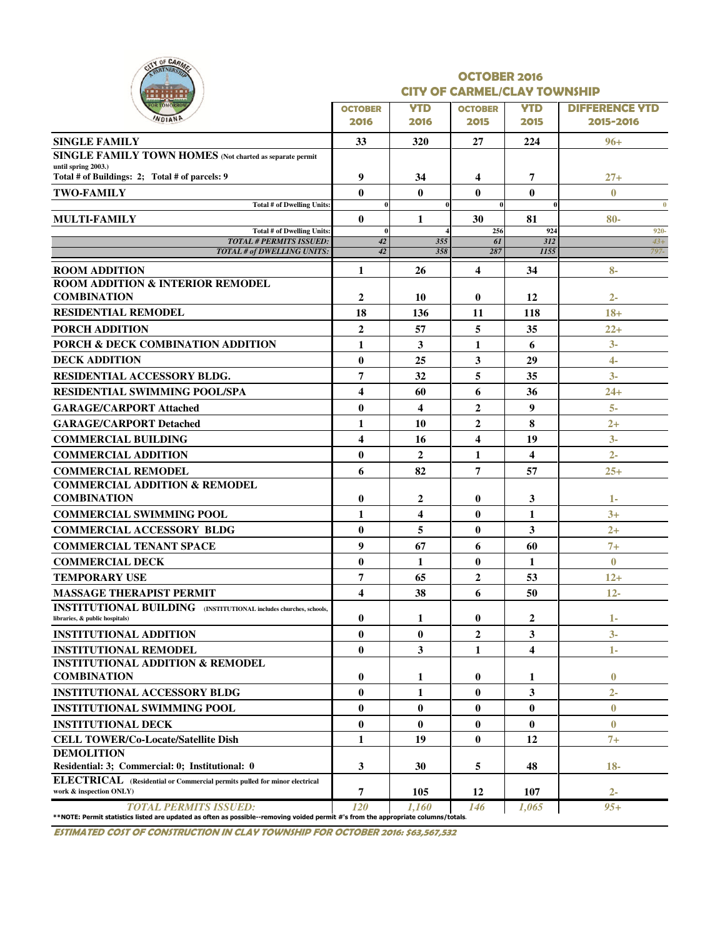|   |                | OF CARMER |  |
|---|----------------|-----------|--|
| ٠ |                | ш         |  |
|   | <b>STOMORE</b> | <b>TH</b> |  |
|   |                |           |  |

#### OCTOBER 2016 CITY OF CARMEL/CLAY TOWNSHIP

| .<br><b>OR TOMORROW</b>                                                                                                                                            |                         |                         |                |              |                       |
|--------------------------------------------------------------------------------------------------------------------------------------------------------------------|-------------------------|-------------------------|----------------|--------------|-----------------------|
| WDIAND                                                                                                                                                             | <b>OCTOBER</b>          | <b>YTD</b>              | <b>OCTOBER</b> | <b>YTD</b>   | <b>DIFFERENCE YTD</b> |
|                                                                                                                                                                    | 2016                    | 2016                    | 2015           | 2015         | 2015-2016             |
| <b>SINGLE FAMILY</b>                                                                                                                                               | 33                      | 320                     | 27             | 224          | $96 +$                |
| <b>SINGLE FAMILY TOWN HOMES</b> (Not charted as separate permit<br>until spring 2003.)                                                                             |                         |                         |                |              |                       |
| Total # of Buildings: 2; Total # of parcels: 9                                                                                                                     | 9                       | 34                      | 4              | 7            | $27 +$                |
| <b>TWO-FAMILY</b>                                                                                                                                                  | $\mathbf{0}$            | $\mathbf{0}$            | $\bf{0}$       | $\mathbf{0}$ | $\bf{0}$              |
| <b>Total # of Dwelling Units:</b>                                                                                                                                  | $\bf{0}$                |                         | $\bf{0}$       |              | $\bf{0}$              |
| <b>MULTI-FAMILY</b>                                                                                                                                                | $\mathbf{0}$            | 1                       | 30             | 81           | $80-$                 |
| <b>Total # of Dwelling Units:</b><br><b>TOTAL # PERMITS ISSUED:</b>                                                                                                | $\mathbf{0}$<br>42      | 355                     | 256<br>61      | 924<br>312   | 920-<br>$43+$         |
| TOTAL # of DWELLING UNITS:                                                                                                                                         | 42                      | 358                     | 287            | 1155         | 797-                  |
| <b>ROOM ADDITION</b>                                                                                                                                               | 1                       | 26                      | 4              | 34           | $8-$                  |
| <b>ROOM ADDITION &amp; INTERIOR REMODEL</b>                                                                                                                        |                         |                         |                |              |                       |
| <b>COMBINATION</b>                                                                                                                                                 | $\overline{2}$          | 10                      | $\bf{0}$       | 12           | $2 -$                 |
| <b>RESIDENTIAL REMODEL</b>                                                                                                                                         | 18                      | 136                     | 11             | 118          | $18+$                 |
| <b>PORCH ADDITION</b>                                                                                                                                              | $\boldsymbol{2}$        | 57                      | 5              | 35           | $22 +$                |
| <b>PORCH &amp; DECK COMBINATION ADDITION</b>                                                                                                                       | $\mathbf{1}$            | $\mathbf{3}$            | 1              | 6            | $3-$                  |
| <b>DECK ADDITION</b>                                                                                                                                               | $\mathbf{0}$            | 25                      | 3              | 29           | $\overline{4}$ -      |
| RESIDENTIAL ACCESSORY BLDG.                                                                                                                                        | $\overline{7}$          | 32                      | 5              | 35           | $3-$                  |
| <b>RESIDENTIAL SWIMMING POOL/SPA</b>                                                                                                                               | 4                       | 60                      | 6              | 36           | $24+$                 |
| <b>GARAGE/CARPORT Attached</b>                                                                                                                                     | $\bf{0}$                | $\overline{\mathbf{4}}$ | $\overline{2}$ | 9            | $5-$                  |
| <b>GARAGE/CARPORT Detached</b>                                                                                                                                     | 1                       | 10                      | $\overline{2}$ | 8            | $2+$                  |
| <b>COMMERCIAL BUILDING</b>                                                                                                                                         | $\overline{\mathbf{4}}$ | 16                      | 4              | 19           | $3-$                  |
| <b>COMMERCIAL ADDITION</b>                                                                                                                                         | $\bf{0}$                | $\overline{2}$          | 1              | 4            | $2-$                  |
| <b>COMMERCIAL REMODEL</b>                                                                                                                                          | 6                       | 82                      | 7              | 57           | $25 +$                |
| <b>COMMERCIAL ADDITION &amp; REMODEL</b>                                                                                                                           |                         |                         |                |              |                       |
| <b>COMBINATION</b>                                                                                                                                                 | $\bf{0}$                | $\boldsymbol{2}$        | $\bf{0}$       | 3            | 1-                    |
| <b>COMMERCIAL SWIMMING POOL</b>                                                                                                                                    | $\mathbf{1}$            | $\overline{\mathbf{4}}$ | $\bf{0}$       | 1            | $3+$                  |
| <b>COMMERCIAL ACCESSORY BLDG</b>                                                                                                                                   | $\mathbf{0}$            | 5                       | $\bf{0}$       | 3            | $2+$                  |
| <b>COMMERCIAL TENANT SPACE</b>                                                                                                                                     | $\boldsymbol{9}$        | 67                      | 6              | 60           | $7+$                  |
| <b>COMMERCIAL DECK</b>                                                                                                                                             | $\bf{0}$                | 1                       | $\bf{0}$       | 1            | $\bf{0}$              |
| <b>TEMPORARY USE</b>                                                                                                                                               | 7                       | 65                      | 2              | 53           | $12+$                 |
| <b>MASSAGE THERAPIST PERMIT</b>                                                                                                                                    | $\overline{\mathbf{4}}$ | 38                      | 6              | 50           | $12 -$                |
| <b>INSTITUTIONAL BUILDING</b> (INSTITUTIONAL includes churches, schools,                                                                                           |                         |                         |                |              |                       |
| libraries, & public hospitals)                                                                                                                                     | $\bf{0}$                | 1                       | $\bf{0}$       | 2            | 1-                    |
| <b>INSTITUTIONAL ADDITION</b>                                                                                                                                      | $\bf{0}$                | $\bf{0}$                | 2              | 3            | $3-$                  |
| <b>INSTITUTIONAL REMODEL</b>                                                                                                                                       | $\mathbf{0}$            | 3                       | 1              | 4            | $1 -$                 |
| <b>INSTITUTIONAL ADDITION &amp; REMODEL</b>                                                                                                                        |                         |                         |                |              |                       |
| <b>COMBINATION</b>                                                                                                                                                 | $\bf{0}$                | 1                       | $\bf{0}$       | 1            | $\bf{0}$              |
| <b>INSTITUTIONAL ACCESSORY BLDG</b>                                                                                                                                | $\mathbf{0}$            | 1                       | $\bf{0}$       | 3            | $2 -$                 |
| <b>INSTITUTIONAL SWIMMING POOL</b>                                                                                                                                 | $\mathbf{0}$            | $\mathbf{0}$            | 0              | $\bf{0}$     | $\bf{0}$              |
| <b>INSTITUTIONAL DECK</b>                                                                                                                                          | $\bf{0}$                | $\bf{0}$                | $\bf{0}$       | $\bf{0}$     | $\bf{0}$              |
| <b>CELL TOWER/Co-Locate/Satellite Dish</b>                                                                                                                         | 1                       | 19                      | $\bf{0}$       | 12           | $7+$                  |
| <b>DEMOLITION</b>                                                                                                                                                  |                         |                         |                |              |                       |
| Residential: 3; Commercial: 0; Institutional: 0                                                                                                                    | 3                       | 30                      | 5              | 48           | $18-$                 |
| ELECTRICAL (Residential or Commercial permits pulled for minor electrical<br>work & inspection ONLY)                                                               | 7                       | 105                     | 12             | 107          | $2-$                  |
| <b>TOTAL PERMITS ISSUED:</b><br>**NOTE: Permit statistics listed are updated as often as possible--removing voided permit #'s from the appropriate columns/totals. | 120                     | 1.160                   | 146            | 1,065        | $95+$                 |

ESTIMATED COST OF CONSTRUCTION IN CLAY TOWNSHIP FOR OCTOBER 2016: \$63,567,532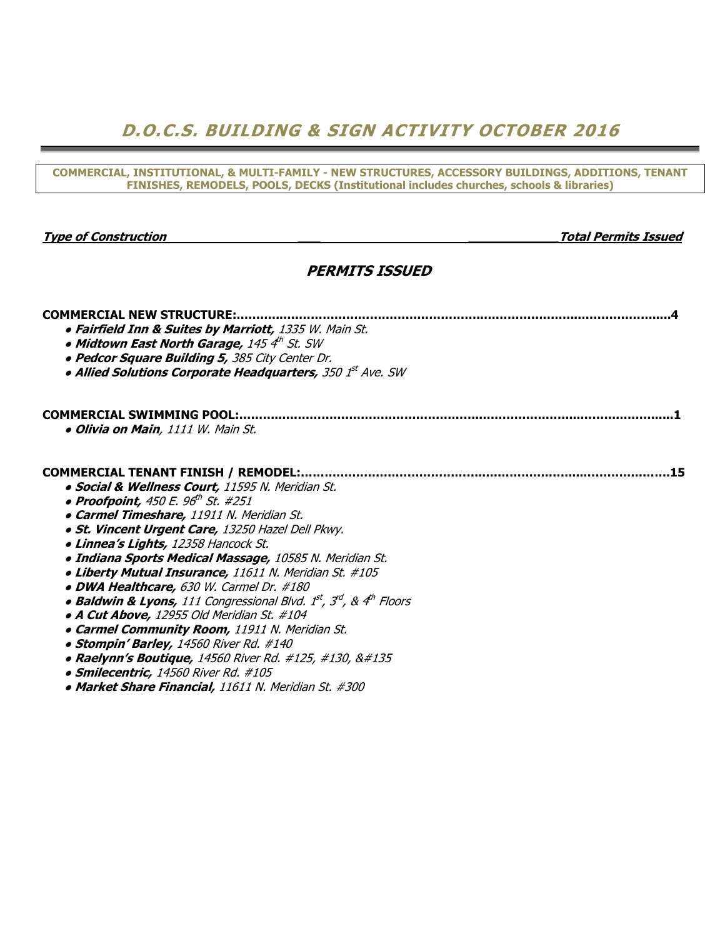## D.O.C.S. BUILDING & SIGN ACTIVITY OCTOBER 2016

COMMERCIAL, INSTITUTIONAL, & MULTI-FAMILY - NEW STRUCTURES, ACCESSORY BUILDINGS, ADDITIONS, TENANT FINISHES, REMODELS, POOLS, DECKS (Institutional includes churches, schools & libraries)

Type of Construction and the construction of Construction and the construction of  $\alpha$  and  $\alpha$   $\alpha$   $\beta$   $\beta$   $\beta$ 

### PERMITS ISSUED

| <b>COMMERCIAL NEW STRUCTURE:</b>                                                   |
|------------------------------------------------------------------------------------|
| <b>• Fairfield Inn &amp; Suites by Marriott, 1335 W. Main St.</b>                  |
| $\bullet$ Midtown East North Garage, 145 $4^{th}$ St. SW                           |
| . Pedcor Square Building 5, 385 City Center Dr.                                    |
| • Allied Solutions Corporate Headquarters, 350 1st Ave. SW                         |
|                                                                                    |
| <b>COMMERCIAL SWIMMING POOL:</b>                                                   |
| · Olivia on Main, 1111 W. Main St.                                                 |
| <b>COMMERCIAL TENANT FINISH / REMODEL:</b><br>.15                                  |
| · Social & Wellness Court, 11595 N. Meridian St.                                   |
| • Proofpoint, 450 E. 96th St. #251                                                 |
| · Carmel Timeshare, 11911 N. Meridian St.                                          |
| · St. Vincent Urgent Care, 13250 Hazel Dell Pkwy.                                  |
| <b>. Linnea's Lights, 12358 Hancock St.</b>                                        |
| · Indiana Sports Medical Massage, 10585 N. Meridian St.                            |
| · Liberty Mutual Insurance, 11611 N. Meridian St. #105                             |
| • DWA Healthcare, 630 W. Carmel Dr. #180                                           |
| • Baldwin & Lyons, 111 Congressional Blvd. $1^{st}$ , $3^{rd}$ , & $4^{th}$ Floors |
| <b>• A Cut Above,</b> 12955 Old Meridian St. #104                                  |
| <b>• Carmel Community Room, 11911 N. Meridian St.</b>                              |
| • Stompin' Barley, 14560 River Rd. #140                                            |
| • Raelynn's Boutique, 14560 River Rd. #125, #130, ‡                                |
| · Smilecentric, 14560 River Rd. #105                                               |
| • Market Share Financial, 11611 N. Meridian St. #300                               |
|                                                                                    |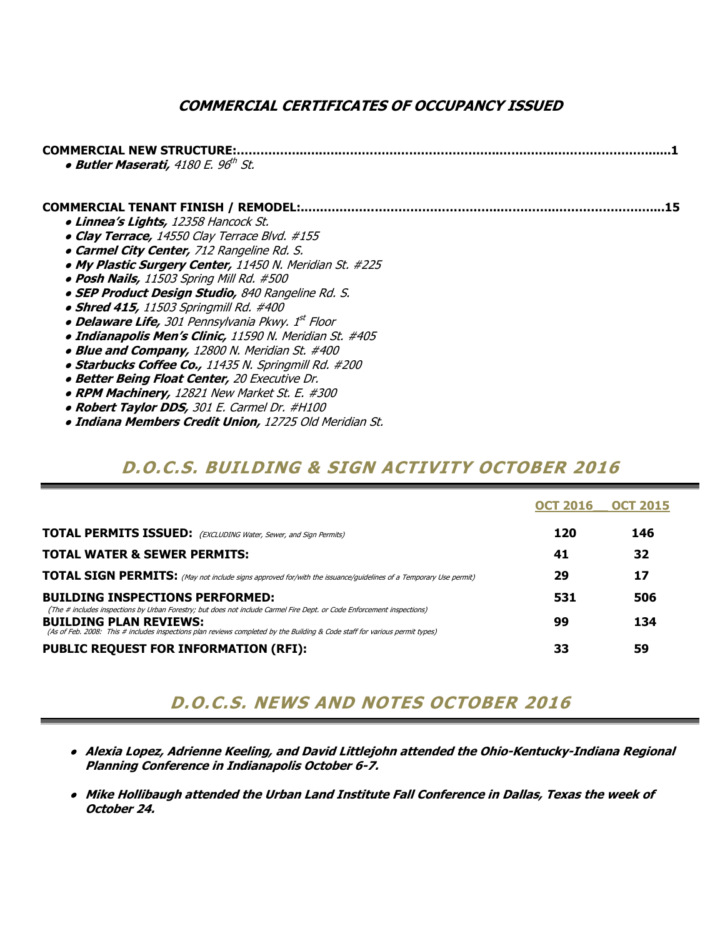### COMMERCIAL CERTIFICATES OF OCCUPANCY ISSUED

| <b>COMMERCIAL NEW STRUCTURE:</b><br><b>• Butler Maserati, 4180 E. 96th St.</b> |  |
|--------------------------------------------------------------------------------|--|
| <b>COMMERCIAL TENANT FINISH / REMODEL:.</b>                                    |  |
| • Linnea's Lights, 12358 Hancock St.                                           |  |
| • Clay Terrace, 14550 Clay Terrace Blvd. #155                                  |  |
| • Carmel City Center, 712 Rangeline Rd. S.                                     |  |
| . My Plastic Surgery Center, 11450 N. Meridian St. #225                        |  |
| . Posh Nails, 11503 Spring Mill Rd. #500                                       |  |
| • SEP Product Design Studio, 840 Rangeline Rd. S.                              |  |
| • Shred 415, 11503 Springmill Rd. #400                                         |  |
| • Delaware Life, 301 Pennsylvania Pkwy. 1st Floor                              |  |
| · Indianapolis Men's Clinic, 11590 N. Meridian St. #405                        |  |
| • Blue and Company, 12800 N. Meridian St. #400                                 |  |
| • Starbucks Coffee Co., 11435 N. Springmill Rd. #200                           |  |
|                                                                                |  |
| • Better Being Float Center, 20 Executive Dr.                                  |  |
| • RPM Machinery, 12821 New Market St. E. #300                                  |  |

- Robert Taylor DDS, 301 E. Carmel Dr. #H100
- Indiana Members Credit Union, 12725 Old Meridian St.

### D.O.C.S. BUILDING & SIGN ACTIVITY OCTOBER 2016

|                                                                                                                                                                                                                                                                                        | <b>OCT 2016</b> | <b>OCT 2015</b> |
|----------------------------------------------------------------------------------------------------------------------------------------------------------------------------------------------------------------------------------------------------------------------------------------|-----------------|-----------------|
| <b>TOTAL PERMITS ISSUED:</b> (EXCLUDING Water, Sewer, and Sign Permits)                                                                                                                                                                                                                | 120             | 146             |
| <b>TOTAL WATER &amp; SEWER PERMITS:</b>                                                                                                                                                                                                                                                | 41              | 32              |
| <b>TOTAL SIGN PERMITS:</b> (May not include signs approved for/with the issuance/guidelines of a Temporary Use permit)                                                                                                                                                                 | 29              | 17              |
| <b>BUILDING INSPECTIONS PERFORMED:</b>                                                                                                                                                                                                                                                 | 531             | 506             |
| (The # includes inspections by Urban Forestry; but does not include Carmel Fire Dept. or Code Enforcement inspections)<br><b>BUILDING PLAN REVIEWS:</b><br>(As of Feb. 2008: This # includes inspections plan reviews completed by the Building & Code staff for various permit types) | 99              | 134             |
| <b>PUBLIC REQUEST FOR INFORMATION (RFI):</b>                                                                                                                                                                                                                                           | 33              | 59              |

## D.O.C.S. NEWS AND NOTES OCTOBER 2016

- Alexia Lopez, Adrienne Keeling, and David Littlejohn attended the Ohio-Kentucky-Indiana Regional Planning Conference in Indianapolis October 6-7.
- Mike Hollibaugh attended the Urban Land Institute Fall Conference in Dallas, Texas the week of October 24.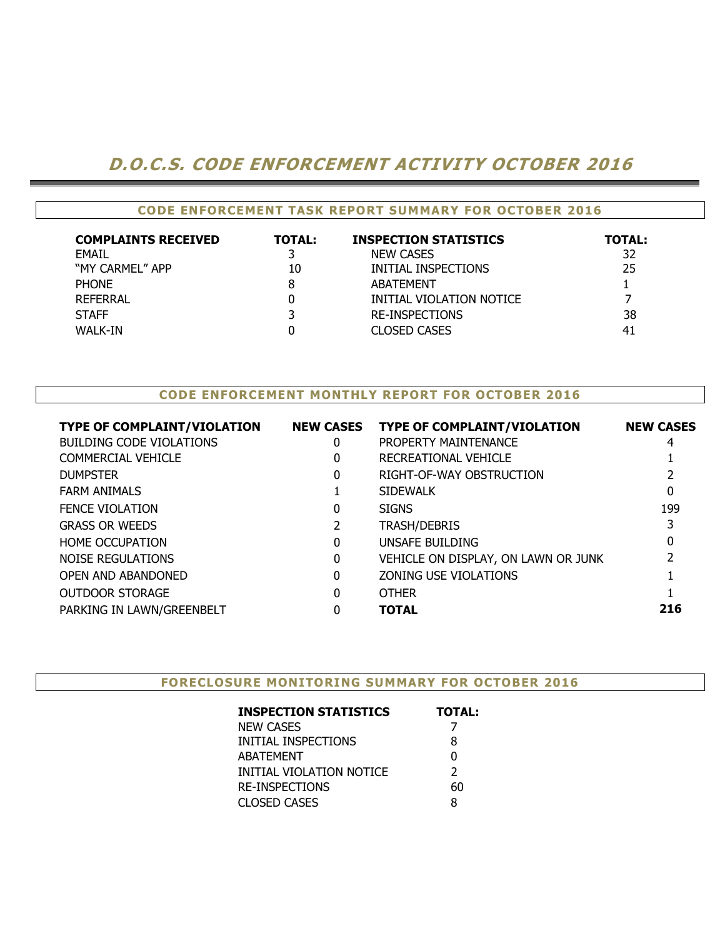## D.O.C.S. CODE ENFORCEMENT ACTIVITY OCTOBER 2016

#### CODE ENFORCEMENT TASK REPORT SUMMARY FOR OCTOBER 2016

| <b>COMPLAINTS RECEIVED</b> | <b>TOTAL:</b> | <b>INSPECTION STATISTICS</b> | <b>TOTAL:</b> |
|----------------------------|---------------|------------------------------|---------------|
| EMAIL                      |               | <b>NEW CASES</b>             | 32            |
| "MY CARMEL" APP            | 10            | INITIAL INSPECTIONS          | 25            |
| <b>PHONE</b>               | 8             | <b>ABATEMENT</b>             |               |
| <b>REFERRAL</b>            |               | INITIAL VIOLATION NOTICE     |               |
| <b>STAFF</b>               |               | <b>RE-INSPECTIONS</b>        | 38            |
| <b>WALK-IN</b>             |               | <b>CLOSED CASES</b>          | 41            |

#### CODE ENFORCEMENT MONTHLY REPORT FOR OCTOBER 2016

| <b>TYPE OF COMPLAINT/VIOLATION</b> | <b>NEW CASES</b> | <b>TYPE OF COMPLAINT/VIOLATION</b>  | <b>NEW CASES</b> |
|------------------------------------|------------------|-------------------------------------|------------------|
| <b>BUILDING CODE VIOLATIONS</b>    | 0                | PROPERTY MAINTENANCE                | 4                |
| <b>COMMERCIAL VEHICLE</b>          | 0                | RECREATIONAL VEHICLE                |                  |
| <b>DUMPSTER</b>                    | $\Omega$         | RIGHT-OF-WAY OBSTRUCTION            |                  |
| <b>FARM ANIMALS</b>                |                  | <b>SIDEWALK</b>                     |                  |
| <b>FENCE VIOLATION</b>             | 0                | <b>SIGNS</b>                        | 199              |
| <b>GRASS OR WEEDS</b>              |                  | <b>TRASH/DEBRIS</b>                 |                  |
| <b>HOME OCCUPATION</b>             | $\Omega$         | UNSAFE BUILDING                     |                  |
| NOISE REGULATIONS                  | $\mathbf{0}$     | VEHICLE ON DISPLAY, ON LAWN OR JUNK |                  |
| OPEN AND ABANDONED                 | $\Omega$         | <b>ZONING USE VIOLATIONS</b>        |                  |
| <b>OUTDOOR STORAGE</b>             | 0                | <b>OTHER</b>                        |                  |
| PARKING IN LAWN/GREENBELT          | 0                | <b>TOTAL</b>                        | 216              |
|                                    |                  |                                     |                  |

#### FORECLOSURE MONITORING SUMMARY FOR OCTOBER 2016

| <b>INSPECTION STATISTICS</b> | <b>TOTAL:</b> |
|------------------------------|---------------|
| NEW CASES                    |               |
| INITIAL INSPECTIONS          | 8             |
| ABATEMENT                    | 0             |
| INITIAL VIOLATION NOTICE     | $\mathcal{P}$ |
| RE-INSPECTIONS               | 60            |
| CLOSED CASES                 | 8             |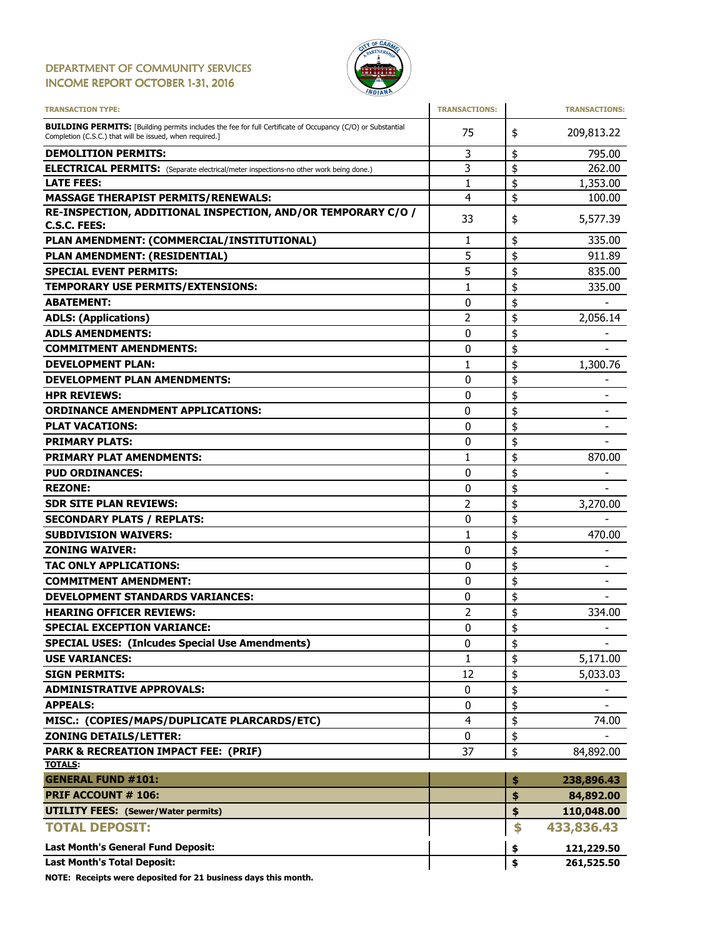#### DEPARTMENT OF COMMUNITY SERVICES INCOME REPORT OCTOBER 1-31, 2016



| <b>TRANSACTION TYPE:</b>                                                                                                                                                       | <b>TRANSACTIONS:</b> |          | <b>TRANSACTIONS:</b>         |
|--------------------------------------------------------------------------------------------------------------------------------------------------------------------------------|----------------------|----------|------------------------------|
| <b>BUILDING PERMITS:</b> [Building permits includes the fee for full Certificate of Occupancy (C/O) or Substantial<br>Completion (C.S.C.) that will be issued, when required.] | 75                   | \$       | 209,813.22                   |
| <b>DEMOLITION PERMITS:</b>                                                                                                                                                     | 3                    | \$       | 795.00                       |
| <b>ELECTRICAL PERMITS:</b> (Separate electrical/meter inspections-no other work being done.)                                                                                   | 3                    | \$       | 262.00                       |
| <b>LATE FEES:</b>                                                                                                                                                              | 1                    | \$       | 1,353.00                     |
| <b>MASSAGE THERAPIST PERMITS/RENEWALS:</b>                                                                                                                                     | 4                    | \$       | 100.00                       |
| RE-INSPECTION, ADDITIONAL INSPECTION, AND/OR TEMPORARY C/O /<br><b>C.S.C. FEES:</b>                                                                                            | 33                   | \$       | 5,577.39                     |
| PLAN AMENDMENT: (COMMERCIAL/INSTITUTIONAL)                                                                                                                                     | 1                    | \$       | 335.00                       |
| PLAN AMENDMENT: (RESIDENTIAL)                                                                                                                                                  | 5                    | \$       | 911.89                       |
| <b>SPECIAL EVENT PERMITS:</b>                                                                                                                                                  | 5                    | \$       | 835.00                       |
| TEMPORARY USE PERMITS/EXTENSIONS:                                                                                                                                              | 1                    | \$       | 335.00                       |
| <b>ABATEMENT:</b>                                                                                                                                                              | 0                    | \$       |                              |
| <b>ADLS: (Applications)</b>                                                                                                                                                    | 2                    | \$       | 2,056.14                     |
| <b>ADLS AMENDMENTS:</b>                                                                                                                                                        | 0                    | \$       |                              |
| <b>COMMITMENT AMENDMENTS:</b>                                                                                                                                                  | 0                    | \$       |                              |
| <b>DEVELOPMENT PLAN:</b>                                                                                                                                                       | 1                    | \$       | 1,300.76                     |
| <b>DEVELOPMENT PLAN AMENDMENTS:</b>                                                                                                                                            | 0                    | \$       |                              |
| <b>HPR REVIEWS:</b>                                                                                                                                                            | 0                    | \$       |                              |
| <b>ORDINANCE AMENDMENT APPLICATIONS:</b>                                                                                                                                       | 0                    | \$       |                              |
| <b>PLAT VACATIONS:</b>                                                                                                                                                         | 0                    | \$       | $\qquad \qquad \blacksquare$ |
| <b>PRIMARY PLATS:</b>                                                                                                                                                          | 0                    | \$       |                              |
| <b>PRIMARY PLAT AMENDMENTS:</b>                                                                                                                                                | 1                    | \$       | 870.00                       |
| <b>PUD ORDINANCES:</b>                                                                                                                                                         | 0                    | \$       |                              |
| <b>REZONE:</b>                                                                                                                                                                 | 0                    | \$       |                              |
| <b>SDR SITE PLAN REVIEWS:</b>                                                                                                                                                  | 2                    | \$       | 3,270.00                     |
| <b>SECONDARY PLATS / REPLATS:</b>                                                                                                                                              | 0                    | \$       |                              |
| <b>SUBDIVISION WAIVERS:</b>                                                                                                                                                    | $\mathbf{1}$         | \$       | 470.00                       |
| <b>ZONING WAIVER:</b>                                                                                                                                                          | 0                    | \$       |                              |
| TAC ONLY APPLICATIONS:                                                                                                                                                         | 0                    | \$       | $\qquad \qquad \blacksquare$ |
| <b>COMMITMENT AMENDMENT:</b>                                                                                                                                                   | 0                    |          |                              |
|                                                                                                                                                                                |                      | \$       |                              |
| <b>DEVELOPMENT STANDARDS VARIANCES:</b>                                                                                                                                        | 0                    | \$       |                              |
| <b>HEARING OFFICER REVIEWS:</b>                                                                                                                                                | 2                    | \$<br>\$ | 334.00                       |
| <b>SPECIAL EXCEPTION VARIANCE:</b>                                                                                                                                             | 0                    |          |                              |
| <b>SPECIAL USES: (Inlcudes Special Use Amendments)</b>                                                                                                                         | 0                    | \$       | -                            |
| <b>USE VARIANCES:</b>                                                                                                                                                          | 1                    | \$       | 5,171.00                     |
| <b>SIGN PERMITS:</b>                                                                                                                                                           | 12                   | \$       | 5,033.03                     |
| <b>ADMINISTRATIVE APPROVALS:</b>                                                                                                                                               | 0                    | \$       |                              |
| <b>APPEALS:</b>                                                                                                                                                                | 0                    | \$       |                              |
| MISC.: (COPIES/MAPS/DUPLICATE PLARCARDS/ETC)                                                                                                                                   | 4                    | \$       | 74.00                        |
| <b>ZONING DETAILS/LETTER:</b>                                                                                                                                                  | 0                    | \$       |                              |
| <b>PARK &amp; RECREATION IMPACT FEE: (PRIF)</b><br><b>TOTALS:</b>                                                                                                              | 37                   | \$       | 84,892.00                    |
|                                                                                                                                                                                |                      |          |                              |
| <b>GENERAL FUND #101:</b>                                                                                                                                                      |                      | \$       | 238,896.43                   |
| <b>PRIF ACCOUNT # 106:</b>                                                                                                                                                     |                      | \$       | 84,892.00                    |
| <b>UTILITY FEES:</b> (Sewer/Water permits)                                                                                                                                     |                      | \$       | 110,048.00                   |
| <b>TOTAL DEPOSIT:</b>                                                                                                                                                          |                      | \$       | 433,836.43                   |
| Last Month's General Fund Deposit:                                                                                                                                             |                      | \$       | 121,229.50                   |
| <b>Last Month's Total Deposit:</b>                                                                                                                                             |                      | \$       | 261,525.50                   |

NOTE: Receipts were deposited for 21 business days this month.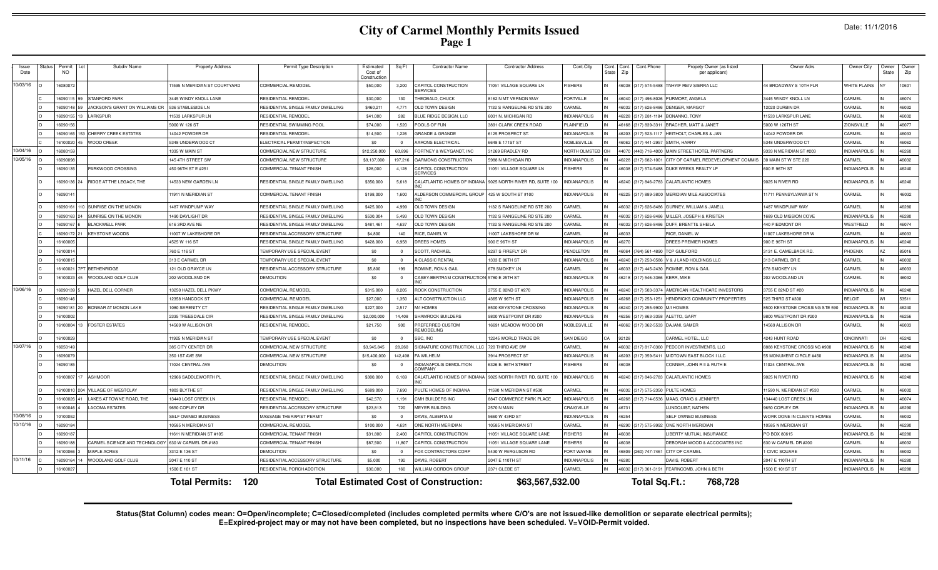# **City of Carmel Monthly Permits Issued Page 1**

Date: 11/1/2016

| Issue<br>Date | status | Permit<br><b>NO</b> | Subdiv Name                                        | <b>Property Address</b>      | Permit Type Description                | Estimated<br>Cost of<br>Construction | Sq Ft                   | <b>Contractor Name</b>                       | <b>Contractor Address</b>      | Cont.City             | Cont.<br>Cont.<br>Zip<br>State | Cont.Phone           | Propety Owner (as listed<br>per applicant)  | Owner Adrs                     | Owner City          | Owner<br>State | Owner<br>Zip |
|---------------|--------|---------------------|----------------------------------------------------|------------------------------|----------------------------------------|--------------------------------------|-------------------------|----------------------------------------------|--------------------------------|-----------------------|--------------------------------|----------------------|---------------------------------------------|--------------------------------|---------------------|----------------|--------------|
| 10/03/16      |        | 1608007             |                                                    | 1595 N MERIDIAN ST COURTYARD | COMMERCIAL REMODEL                     | \$50,000                             | 3,200                   | CAPITOL CONSTRUCTION<br><b>ERVICES</b>       | 11051 VILLAGE SQUARE LN        | <b>ISHERS</b>         |                                |                      | 46038 (317) 574-5488 TNHYIF REIV SIERRA LLC | 44 BROADWAY S 10TH FLR         | WHITE PLAINS        |                | 10601        |
|               |        | 1609011             | <b>STANFORD PARK</b>                               | 3445 WINDY KNOLL LANE        | RESIDENTIAL REMODEL                    | \$30,000                             | 130                     | <b>HEOBALD, CHUCK</b>                        | 3162 N MT VERNON WAY           | ORTVILLE              |                                | 46040 (317) 496-802  | PURMORT, ANGELA                             | 3445 WINDY KNOLL LN            | CARMEL              |                | 46074        |
|               |        | 1609014             | JACKSON'S GRANT ON WILLIAMS CR                     | 536 STABLESIDE LN            | RESIDENTIAL SINGLE FAMILY DWELLING     | \$460,211                            | 4,771                   | OLD TOWN DESIGN                              | 132 S RANGELINE RD STE 200     | <b>ARMEL</b>          | 16032                          | (317) 626-848        | ENGER, MARGOT                               | 12020 DURBIN DR                | CARMEL              |                | 46032        |
|               |        | 1609015             | <b>LARKSPUR</b>                                    | 1533 LARKSPUR LN             | RESIDENTIAL REMODEL                    | \$41,000                             | 282                     | LUE RIDGE DESIGN, LLC                        | 3031 N. MICHIGAN RD            | NDIANAPOLIS           | 6228                           | (317) 281-1184       | BONANNO, TONY                               | 1533 LARKSPUR LANE             | CARMEL              |                | 46032        |
|               |        | 609015              |                                                    | 5000 W 126 ST                | RESIDENTIAL SWIMMING POOL              | \$74,000                             | 1.520                   | OOLS OF FUN                                  | <b>3891 CLARK CREEK ROAD</b>   | LAINFIELD             | 16168                          | (317) 839-331        | BRACHER, MATT & JANET                       | 5000 W 126TH ST                | ZIONSVILLE          |                | 46077        |
|               |        | 16090165            | 53 CHERRY CREEK ESTATES                            | 14042 POWDER DR              | RESIDENTIAL REMODEL                    | \$14,500                             | 1.226                   | GRANDE & GRANDE                              | 125 PROSPECT ST                | <b>VDIANAPOLIS</b>    | 6203                           | (317) 523-111        | HEITHOLT, CHARLES & JAN                     | 14042 POWDER DR                | CARMEL              |                | 46033        |
|               |        | 16100020            | <b>WOOD CREEK</b>                                  | 5348 UNDERWOOD CT            | ELECTRICAL PERMIT/INSPECTION           | \$0                                  | $\Omega$                | ARONS ELECTRICAL                             | 6648 E 171ST ST                | <b>IOBLESVILLE</b>    | 6062                           | (317) 441-295        | SMITH, HARRY                                | 5348 UNDERWOOD CT              | CARMEL              |                | 46062        |
| 10/04/16      |        | 1608015             |                                                    | 1335 W MAIN ST               | COMMERCIAL NEW STRUCTURE               | \$12,250,000                         | 60.896                  | ORTNEY & WEYGANDT, INC                       | 1269 BRADLEY RD                | <b>IORTH OI MSTED</b> | 4070                           | (440) 716-4000       | MAIN STREET HOTEL PARTNERS                  | 9333 N MERIDIAN ST #203        | <b>INDIANAPOLIS</b> |                | 46260        |
| 10/05/16      |        | 16090098            |                                                    | 145 4TH STREET SW            | COMMERCIAL NEW STRUCTURE               | \$9,137,000                          | 197.216                 | GARMONG CONSTRUCTION                         | 5988 N MICHIGAN RD             | NDIANAPOLIS           | 6228                           | (317) 682-1001       | CITY OF CARMEL REDEVELOPMENT COMMIS         | 30 MAIN STW STE 220            | <b>ARMEL</b>        |                | 46032        |
|               |        | 1609013             | PARKWOOD CROSSING                                  | 450 96TH ST E #251           | COMMERCIAL TENANT FINISH               | \$28,000                             | 4,128                   | CAPITOL CONSTRUCTION<br><b>ERVICES</b>       | 1051 VILLAGE SQUARE LN         | <b>ISHERS</b>         | 16038                          |                      | (317) 574-5488 DUKE WEEKS REALTY LP         | 600 E 96TH ST                  | <b>INDIANAPOLIS</b> |                | 46240        |
|               |        | 1609013             | RIDGE AT THE LEGACY, THE                           | 14533 NEW GARDEN LN          | RESIDENTIAL SINGLE FAMILY DWELLING     | \$350,000                            | 5,618                   | CALATLANTIC HOMES OF INDIANA                 | 9025 NORTH RIVER RD, SUITE 100 | <b>NDIANAPOLIS</b>    |                                |                      | 46240 (317) 846-2783 CALATLANTIC HOMES      | 9025 N RIVER RD                | <b>INDIANAPOLIS</b> |                | 46240        |
|               |        | 1609014             |                                                    | 11911 N MERIDIAN ST          | <b>COMMERCIAL TENANT FINISH</b>        | \$198,000                            | 1,600                   | ALDERSON COMMERCIAL GROUP                    | 425 W SOUTH ST #100            | <b>NDIANAPOLIS</b>    |                                | 46225 (317) 889-3800 | MERIDIAN MILE ASSOCIATES                    | 11711 PENNSYLVANIA ST N        | CARMEL              |                | 46032        |
|               |        | 1609016             | 0 SUNRISE ON THE MONON                             | 1487 WINDPUMP WAY            | RESIDENTIAL SINGLE FAMILY DWELLING     | \$425,000                            | 4.999                   | OLD TOWN DESIGN                              | 132 S RANGELINE RD STE 200     | <b>ARMEL</b>          |                                | 46032 (317) 626-8486 | <b>GURNEY, WILLIAM &amp; JANELI</b>         | 1487 WINDPUMP WAY              | CARMEL              |                | 46280        |
|               |        | 1609016             | SUNRISE ON THE MONON                               | 1490 DAYLIGHT DR             | RESIDENTIAL SINGLE FAMILY DWELLING     | \$530,304                            | 5.493                   | <b>OLD TOWN DESIGN</b>                       | 132 S RANGELINE RD STE 200     | ARMFI                 |                                | 46032 (317) 626-8486 | MILLER, JOSEPH & KRISTEN                    | 1689 OLD MISSION COVE          | <b>INDIANAPOLIS</b> |                | 46280        |
|               |        | 1609016             | <b>BLACKWELL PARK</b>                              | 616 3RD AVE NE               | RESIDENTIAL SINGLE FAMILY DWELLING     | \$481,461                            | 4.637                   | <b>DLD TOWN DESIGN</b>                       | 132 S RANGELINE RD STE 200     | <b>ARMEL</b>          | 16032                          | (317) 626-8486       | DUFF, BRENTT& SHEILA                        | 440 PIEDMONT DR                | WESTFIELD           |                | 46074        |
|               |        | 1609017             | <b>KEYSTONE WOODS</b>                              | 11007 W LAKESHORE DF         | RESIDENTIAL ACCESSORY STRUCTURE        | \$4,800                              | 140                     | RICE, DANIEL W                               | 11007 LAKESHORE DR W           | <b>ARMEL</b>          | 46033                          |                      | RICE, DANIEL W                              | 11007 LAKESHORE DR W           | CARMEL              |                | 46033        |
|               |        | 1610000             |                                                    | 4525 W 116 ST                | RESIDENTIAL SINGLE FAMILY DWELLING     | \$428,000                            | 6,958                   | <b>DREES HOMES</b>                           | 900 E 96TH ST                  | <b>NDIANAPOLIS</b>    | 16270                          |                      | DREES PREMIER HOMES                         | 900 E 96TH ST                  | <b>INDIANAPOLIS</b> |                | 46240        |
|               |        | 1610001             |                                                    | 760 E 116 ST                 | TEMPORARY USE SPECIAL EVENT            | \$0                                  | $\overline{0}$          | <b>SCOTT, RACHAEL</b>                        | 8297 S FIREFLY DF              | <b>ENDLETON</b>       | 46064                          | (764) 561-489        | <b>TCP GUILFORD</b>                         | 3131 E. CAMELBACK RD           | PHOENIX             |                | 85016        |
|               |        | 1610001             |                                                    | 313 E CARMEL DR              | TEMPORARY USE SPECIAL EVENT            | \$0                                  | $\overline{0}$          | <b>A CLASSIC RENTAL</b>                      | 1333 E 86TH ST                 | NDIANAPOLIS           | 16240                          | (317) 253-058        | V & J LAND HOLDINGS LLC                     | 313 CARMEL DR                  | CARMEL              |                | 46032        |
|               |        | 1610002             | PT BETHENRIDGE                                     | 121 OLD GRAYCE LN            | RESIDENTIAL ACCESSORY STRUCTURI        | \$5,800                              | 199                     | ROMINE, RON & GAIL                           | 678 SMOKEY LM                  | <b>ARMEL</b>          | 16033                          | $(317)$ 445-243      | ROMINE, RON & GAIL                          | 678 SMOKEY LN                  | CARMEL              |                | 46033        |
|               |        | 16100023            | WOODLAND GOLF CLUE                                 | 202 WOODLAND DR              | <b>DEMOLITION</b>                      | \$0                                  | $\overline{0}$          | CASEY-BERTRAM CONSTRUCTION                   | 5780 E 25TH ST                 | NDIANAPOLIS           | 16218                          | (317) 546-3366       | <b>KERR, MIKE</b>                           | 202 WOODLAND LN                | CARMEL              |                | 46032        |
| 10/06/16      |        | 1609013             | HAZEL DELL CORNER                                  | 13250 HAZEL DELL PKWY        | COMMERCIAL REMODEL                     | \$315,000                            | 8,205                   | ROCK CONSTRUCTION                            | 3755 E 82ND ST #270            | NDIANAPOLIS           |                                | 46240 (317) 503-3374 | AMERICAN HEALTHCARE INVESTORS               | 3755 E 82ND ST #20             | <b>INDIANAPOLIS</b> |                | 46240        |
|               |        | 1609014             |                                                    | 2358 HANCOCK ST              | COMMERCIAL REMODEL                     | \$27,000                             | 1.350                   | <b>ALT CONSTRUCTION LLC</b>                  | 4365 W 96TH ST                 | <b>NDIANAPOLIS</b>    |                                | 46268 (317) 253-1251 | HENDRICKS COMMUNITY PROPERTIES              | 525 THIRD ST #300              | <b>BELOIT</b>       |                | 53511        |
|               |        | 1609018             | <b>BONBAR AT MONON LAKE</b>                        | 1080 SERENITY CT             | RESIDENTIAL SINGLE FAMILY DWELLING     | \$227,000                            | 2.517                   | M/I HOMES                                    | 8500 KEYSTONE CROSSING         | <b>NDIANAPOLIS</b>    |                                | 46240 (317) 255-9900 | M/I HOMES                                   | 8500 KEYSTONE CROSSING STE 590 | <b>INDIANAPOLIS</b> |                | 46240        |
|               |        | 1610000             |                                                    | 2335 TREESDALE CIR           | RESIDENTIAL SINGLE FAMILY DWELLING     | \$2,000,000                          | 14.408                  | <b>HAMROCK BUILDERS</b>                      | 9800 WESTPOINT DR #200         | NDIANAPOLIS           | 16256                          | (317) 863-335        | ALETTO, GARY                                | 9800 WESTPOINT DR #200         | <b>INDIANAPOLIS</b> |                | 46256        |
|               |        | 16100004            | <b>FOSTER ESTATES</b>                              | 14569 W ALLISON DR           | RESIDENTIAL REMODEL                    | \$21,750                             | 900                     | REFERRED CUSTOM<br><b>FMODELING</b>          | 16691 MEADOW WOOD DR           | <b>IOBLESVILLE</b>    | 16062                          |                      | (317) 362-5533 DAJANI, SAMER                | 14569 ALLISON DR               | CARMEL              |                | 46033        |
|               |        | 1610002             |                                                    | 1925 N MERIDIAN ST           | <b>FEMPORARY USE SPECIAL EVENT</b>     | \$0                                  | $\Omega$                | BC. INC                                      | 2245 WORLD TRADE DR            | <b>SAN DIEGO</b>      | 2128                           |                      | CARMEL HOTEL, LLC                           | 4243 HUNT ROAD                 | CINCINNATI          |                | 45242        |
| 10/07/16      |        | 1605014             |                                                    | 385 CITY CENTER DR           | COMMERCIAL NEW STRUCTURE               | \$3,945,845                          | 28,260                  | <b>IGNATURE CONSTRUCTION, LLC</b>            | 720 THIRD AVE SW               | <b>ARMEL</b>          | 6032                           | (317) 817-036        | PEDCOR INVESTMENTS, LLC                     | 3888 KEYSTONE CROSSING #900    | NDIANAPOLIS         |                | 46240        |
|               |        | 16090079            |                                                    | 350 1ST AVE SW               | COMMERCIAL NEW STRUCTURE               | \$15,400,000                         | 142.498                 | A WILHELM                                    | 3914 PROSPECT ST               | NDIANAPOLIS           | 6203                           | (317) 359-541        | MIDTOWN FAST BLOCK I LLC                    | 55 MONUMENT CIRCLE #450        | NDIANAPOLIS         |                | 46204        |
|               |        | 1609018             |                                                    | 11024 CENTRAL AVE            | <b>DEMOLITION</b>                      | \$0                                  | $\overline{\mathbf{0}}$ | NDIANAPOLIS DEMOLITION<br><b>OMPANY</b>      | 6326 E. 96TH STREET            | <b>ISHERS</b>         | 16038                          |                      | CONNER, JOHN R II & RUTH E                  | 11024 CENTRAL AVE              | <b>INDIANAPOLIS</b> |                | 46280        |
|               |        | 1610000             | <b>ASHMOOR</b>                                     | 12966 SADDLEWORTH PL         | RESIDENTIAL SINGLE FAMILY DWELLING     | \$300,000                            | 6,169                   | CALATLANTIC HOMES OF INDIANA                 | 9025 NORTH RIVER RD, SUITE 100 | NDIANAPOLIS           | 6240                           | (317) 846-2783       | <b>CALATLANTIC HOMES</b>                    | 9025 N RIVER RD                | <b>INDIANAPOLIS</b> |                | 46240        |
|               |        | 1610001             | <b>VILLAGE OF WESTCLAY</b>                         | 1803 BLYTHE ST               | RESIDENTIAL SINGLE FAMILY DWELLING     | \$689,000                            | 7.690                   | <b>PULTE HOMES OF INDIANA</b>                | 1590 N MERIDIAN ST #530        | <b>ARMEL</b>          | 6032                           | (317) 575-235        | <b>PULTE HOMES</b>                          | 11590 N. MERIDIAN ST #530      | CARMEL              |                | 46032        |
|               |        | 16100026            | LAKES AT TOWNE ROAD, THE                           | 13440 LOST CREEK LN          | <b>RESIDENTIAL REMODEL</b>             | \$42,570                             | 1.191                   | <b>CMH BUILDERS INC</b>                      | 3847 COMMERCE PARK PLACE       | NDIANAPOLIS           | 6268                           | (317) 714-6536       | MAAS, CRAIG & JENNIFER                      | 134440 LOST CREEK LN           | ARMEL               |                | 46074        |
|               |        | 16100046            | <b>LACOMA ESTATES</b>                              | 9650 COPLEY DR               | <b>RESIDENTIAL ACCESSORY STRUCTURE</b> | \$23,813                             | 720                     | <b>JEYER BUILDING</b>                        | <b>2570 N MAIN</b>             | RAIGVILLE             | 16731                          |                      | <b>UNDQUIST, NATHEN</b>                     | 9650 COPLEY DR                 | <b>NDIANAPOLIS</b>  |                | 46290        |
| 10/08/16      |        | 1010005             |                                                    | SELE OWNED BUSINESS          | MASSAGE THERAPIST PERMIT               | \$0                                  | $\Omega$                | DAVIS, ALBERTA M                             | 5660 W 43RD ST                 | <b>NDIANAPOLIS</b>    | 6254                           |                      | SELF OWNED BUSINESS                         | WORK DONE IN CLIENTS HOMES     | CARMEL              |                | 46032        |
| 10/10/16      |        | 1609018             |                                                    | 10585 N MERIDIAN ST          | COMMERCIAL REMODEL                     | \$100,000                            | 4.631                   | ONE NORTH MERIDIAN                           | 10585 N MERIDIAN ST            | <b>ARMEL</b>          |                                | 46290 (317) 575-9992 | ONE NORTH MERIDIAN                          | 10585 N MERIDIAN ST            | CARMEL              |                | 46290        |
|               |        | 1609018             |                                                    | 11611 N MERIDIAN ST #105     | COMMERCIAL TENANT FINISH               | \$31,800                             | 2,400                   | <b>CAPITOL CONSTRUCTION</b>                  | 1051 VILLAGE SQUARE LANE       | <b>ISHERS</b>         | 16038<br>IN                    |                      | IBERTY MUTUAL INSURANCE                     | PO BOX 80615                   | <b>INDIANAPOLIS</b> |                | 46280        |
|               |        | 1609018             | CARMEL SCIENCE AND TECHNOLOGY 630 W CARMEL DR #180 |                              | <b>COMMERCIAL TENANT FINISH</b>        | \$87,500                             | 11,807                  | CAPITOL CONSTRUCTION                         | 1051 VILLAGE SQUARE LANE       | <b>ISHERS</b>         | 6038<br>IN                     |                      | DEBORAH WOOD & ACCOCIATES INC               | 630 W CARMEL DR #200           | CARMEL              |                | 46032        |
|               |        | 1610006             | MAPLE ACRES                                        | 3312 E 136 ST                | <b>DEMOLITION</b>                      | \$0                                  | $\Omega$                | FOX CONTRACTORS CORP                         | 5430 W FERGUSON RD             | ORT WAYNE             | 16809<br>IN                    |                      | (260) 747-7461 CITY OF CARMEL               | 1 CIVIC SQUARE                 | CARMEL              |                | 46032        |
| 10/11/16      |        | 1609016             | WOODLAND GOLF CLUB                                 | 2047 E 110 ST                | RESIDENTIAL ACCESSORY STRUCTURE        | \$5,000                              | 192                     | <b>DAVIS, ROBERT</b>                         | 2047 E 110TH ST                | <b>NDIANAPOLIS</b>    | 6280                           |                      | DAVIS, ROBERT                               | 2047 E 110TH ST                | <b>INDIANAPOLIS</b> |                | 46280        |
|               |        | 1610002             |                                                    | 1500 E 101 ST                | RESIDENTIAL PORCH ADDITION             | \$30,000                             | 160                     | <b>VILLIAM GORDON GROUP</b>                  | 2371 GLEBE ST                  | CARMEL                | IN                             |                      | 46032 (317) 361-3191 FEARNCOMB, JOHN & BETH | 1500 E 101ST ST                | <b>INDIANAPOLIS</b> |                | 46280        |
|               |        |                     |                                                    | 120<br><b>Total Permits:</b> |                                        |                                      |                         | <b>Total Estimated Cost of Construction:</b> | \$63,567,532.00                |                       |                                | Total Sq.Ft.:        | 768,728                                     |                                |                     |                |              |

Status(Stat Column) codes mean: O=Open/incomplete; C=Closed/completed (includes completed permits where C/O's are not issued-like demolition or separate electrical permits);<br>E=Expired-project may or may not have been compl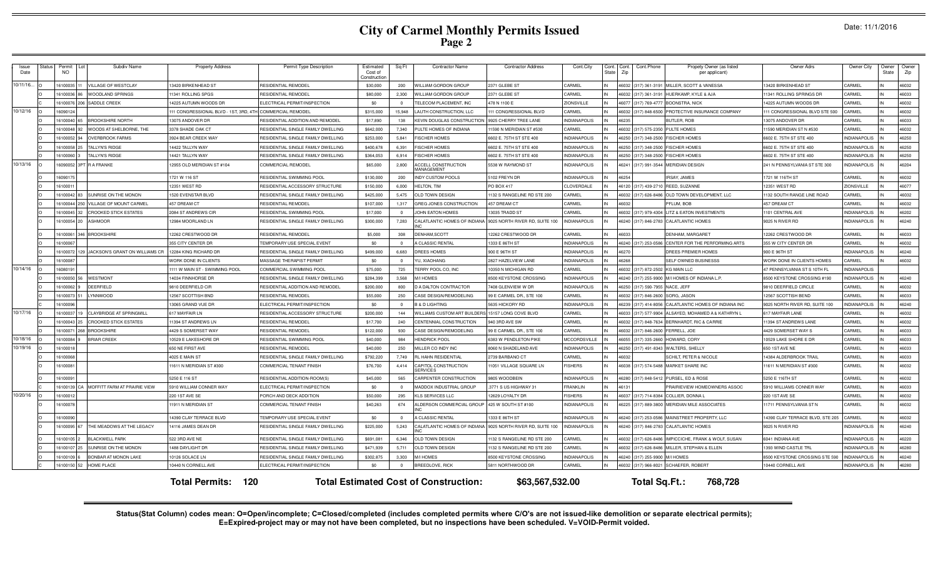# **City of Carmel Monthly Permits Issued Page 2**

| Date: 11/1/2016 |  |  |
|-----------------|--|--|
|-----------------|--|--|

| <b>Issue</b><br>Date | tatus | Permit<br><b>NO</b> | Subdiv Name                    | <b>Property Address</b>                                   | Permit Type Description            | Estimated<br>Cost of<br>Constructio | Sa Ft    | <b>Contractor Name</b>                          | <b>Contractor Address</b>      | Cont.City           | Cont. Cont.<br>Zip<br>State | Cont.Phone           | Propety Owner (as listed<br>per applicant) | Owner Adrs                       | Owner City          | Owner<br>State | Owner<br>Zip |
|----------------------|-------|---------------------|--------------------------------|-----------------------------------------------------------|------------------------------------|-------------------------------------|----------|-------------------------------------------------|--------------------------------|---------------------|-----------------------------|----------------------|--------------------------------------------|----------------------------------|---------------------|----------------|--------------|
| 10/11/16             |       | 6100035             | <b>ILLAGE OF WESTCLAY</b>      | 13420 BIRKENHEAD ST                                       | RESIDENTIAL REMODEL                | \$30,000                            | 200      | <b>WILLIAM GORDON GROUP</b>                     | 2371 GLEBE ST                  | CARMEL              | 6032                        | (317) 361-3191       | MILLER, SCOTT & VANESSA                    | 13420 BIRKENHEAD ST              | CARMEL              |                | 46032        |
|                      |       | 16100036            | WOODLAND SPRINGS               | 11341 ROLLING SPGS                                        | <b>RESIDENTIAL REMODEL</b>         | \$80,000                            | 2.300    | WILLIAM GORDON GROUP                            | 2371 GLEBE ST                  | <b>CARMEL</b>       | 6032                        | (317) 361-319        | HUERKAMP, KYLE & AJA                       | 11341 ROLLING SPRINGS DR         | CARMEI              |                | 46033        |
|                      |       | 16100076<br>1206    | SADDLE CREEK                   | 14225 AUTUMN WOODS DR                                     | ELECTRICAL PERMIT/INSPECTION       | -\$0                                | $\Omega$ | ELECOM PLACEMENT. INC                           | 478 N 1100 F                   | ZIONSVILLE          | 16077                       | $(317) 769 - 477$    | <b>BOONSTRA, NICK</b>                      | 14225 AUTUMN WOODS DR            | CARMEI              |                | 46032        |
| 10/12/16             |       | 16090124            |                                | 111 CONGRESSIONAL BLVD - 1ST, 3RD, 4TH COMMERCIAL REMODEL |                                    | \$315,000                           | 15,948   | LAUTH CONSTRUCTION, LLC                         | 11 CONGRESSIONAL BLVD          | CARMEL              | 6032                        | $(317) 848 - 6500$   | PROTECTIVE INSURANCE COMPANY               | 111 CONGRESSIONAL BLVD STE 500   | CARMEL              |                | 46032        |
|                      |       | 16100040 65         | <b>BROOKSHIRE NORTH</b>        | 13075 ANDOVER DR                                          | RESIDENTIAL ADDITION AND REMODEL   | \$17,890                            | 138      | <b>KEVIN DOUGLAS CONSTRUCTION</b>               | 9925 CHERRY TREE LANE          | <b>INDIANAPOLIS</b> | 6235                        |                      | <b>BUTLER, ROB</b>                         | 13075 ANDOVER DR                 | CARMEL              |                | 46033        |
|                      |       | 16100048<br>92      | WOODS AT SHELBORNE, THE        | 3378 SHADE OAK CT                                         | RESIDENTIAL SINGLE FAMILY DWELLING | \$642,000                           | 7,340    | PULTE HOMES OF INDIANA                          | 1590 N MERIDIAN ST #530        | CARMEI              |                             | 46032 (317) 575-235  | <b>PULTE HOMES</b>                         | 11590 MERIDIAN ST N #530         | CARMEL              |                | 46032        |
|                      |       | 16100052<br>94      | <b>OVERBROOK FARMS</b>         | 3924 BEAR CREEK WAY                                       | RESIDENTIAL SINGLE FAMILY DWELLING | \$253,000                           | 5,841    | <b>FISCHER HOMES</b>                            | 6602 E. 75TH ST STE 400        | <b>INDIANAPOLIS</b> | 6250                        | (317) 348-250        | <b>FISCHER HOMES</b>                       | 6602 E. 75TH ST STE 400          | <b>INDIANAPOLIS</b> |                | 46250        |
|                      |       | 16100058            | TALLYN'S RIDGE                 | 14422 TALLYN WAY                                          | RESIDENTIAL SINGLE FAMILY DWELLING | \$400,678                           | 6,391    | <b>ISCHER HOMES</b>                             | 6602 E. 75TH ST STE 400        | <b>INDIANAPOLIS</b> | 16250                       | $(317)$ 348-250      | <b>ISCHER HOMES</b>                        | 6602 E. 75TH ST STE 400          | <b>INDIANAPOLIS</b> |                | 46250        |
|                      |       | 1610006             | ALLYN'S RIDGE                  | 14421 TALLYN WAY                                          | RESIDENTIAL SINGLE FAMILY DWELLING | \$364.053                           | 6.914    | <b>ISCHER HOMES</b>                             | 602 E. 75TH ST STE 400         | NDIANAPOLIS         | 6250                        | (317) 348-250        | <b>FISCHER HOMES</b>                       | 6602 E. 75TH ST STE 400          | <b>INDIANAPOLIS</b> |                | 46250        |
| 10/13/16             |       | 16090052            | <b>RAFRANKE</b>                | 12955 OLD MERIDIAN ST #104                                | <b>COMMERCIAL REMODEL</b>          | \$65,000                            | 2,800    | <b>ACCELL CONSTRUCTION</b><br><b>AANAGEMENT</b> | 5538 W RAYMOND ST              | <b>INDIANAPOLIS</b> | 46241                       | (317) 991-3544       | <b>MERIDIAN DESIGN</b>                     | 241 N PENNSYLVANIA ST STE 300    | <b>INDIANAPOLIS</b> |                | 46204        |
|                      |       | 1609017             |                                | 1721 W 116 ST                                             | RESIDENTIAL SWIMMING POOL          | \$130,000                           | 200      | <b>NDY CUSTOM POOLS</b>                         | 102 FREYN DR                   | <b>INDIANAPOLIS</b> | 16254                       |                      | RSAY, JAMES                                | 1721 W 116TH ST                  | CARMEL              |                | 46032        |
|                      |       | 16100011            |                                | 12351 WEST RD                                             | RESIDENTIAL ACCESSORY STRUCTURE    | \$150,000                           | 6,000    | <b>IELTON, TIM</b>                              | O BOX 417                      | CLOVERDALE          | 16120                       | (317) 439-27         | REED, SUZANNE                              | 12351 WEST RD                    | <b>ZIONSVILLE</b>   |                | 46077        |
|                      |       | 16100042 83         | <b>IUNRISE ON THE MONON</b>    | 1520 EVENSTAR BLVD                                        | RESIDENTIAL SINGLE FAMILY DWELLING | \$425,000                           | 5475     | OLD TOWN DESIGN                                 | 132 S RANGELINE RD STE 200     | CARMEL              | 6032                        | (317) 626-848        | OLD TOWN DEVELOPMENT. LLC                  | 1132 SOUTH RANGE LINE ROAD       | CARMEL              |                | 46032        |
|                      |       | 6100044 250         | <b>ILLAGE OF MOUNT CARMEL</b>  | 457 DREAM CT                                              | RESIDENTIAL REMODEL                | \$107,000                           | 1.317    | GREG JONES CONSTRUCTION                         | <b>157 DREAM CT</b>            | <b>ARMEL</b>        | 6032                        |                      | FLUM, BOB                                  | 457 DREAM CT                     | CARMEL              |                | 46032        |
|                      |       | 16100045 32         | CROOKED STICK ESTATES          | 2084 ST ANDREWS CIR                                       | RESIDENTIAL SWIMMING POOL          | \$17,000                            | $\Omega$ | JOHN EATON HOMES                                | 13035 TRADD ST                 | CARMEL              | 16032                       | (317) 979-4304       | LITZ & EATON INVESTMENTS                   | 1101 CENTRAL AVE                 | <b>INDIANAPOLIS</b> |                | 46202        |
|                      |       | 16100054 20         | <b>ASHMOOR</b>                 | 12984 MOORLAND LN                                         | RESIDENTIAL SINGLE FAMILY DWELLING | \$300,000                           | 7,283    | CALATLANTIC HOMES OF INDIANA                    | 9025 NORTH RIVER RD, SUITE 100 | <b>INDIANAPOLIS</b> |                             | 46240 (317) 846-2783 | <b>CALATLANTIC HOMES</b>                   | 9025 N RIVER RD                  | <b>INDIANAPOLIS</b> |                | 46240        |
|                      |       | 16100061            | <b>BROOKSHIRE</b>              | 12262 CRESTWOOD DR                                        | RESIDENTIAL REMODEL                | \$5,000                             | 308      | DENHAM.SCOTT                                    | 12262 CRESTWOOD DR             | CARMEL              | 16033                       |                      | <b>DENHAM, MARGARET</b>                    | 12262 CRESTWOOD DR               | CARMEL              |                | 46033        |
|                      |       | 16100067            |                                | 355 CITY CENTER DR                                        | TEMPORARY USE SPECIAL EVENT        | \$0                                 | $\Omega$ | A CLASSIC RENTAI                                | 1333 E 86TH ST                 | <b>INDIANAPOLIS</b> | 16240                       | (317) 253-058        | CENTER FOR THE PERFORMING ARTS             | 355 W CITY CENTER DF             | CARMEL              |                | 46032        |
|                      |       | 1610007             | JACKSON'S GRANT ON WILLIAMS CR | 12284 KING RICHARD DF                                     | RESIDENTIAL SINGLE FAMILY DWELLING | \$499,000                           | 6,683    | <b>DREES HOMES</b>                              | 900 E 96TH ST                  | <b>INDIANAPOLIS</b> | 16270                       |                      | DREES PREMIER HOME!                        | 900 E 96TH ST                    | <b>INDIANAPOLIS</b> |                | 46240        |
|                      |       | 16100087            |                                | <b><i>NORK DONE IN CLIENTS</i></b>                        | MASSAGE THERAPIST PERMIT           | \$0                                 | $\Omega$ | YU, XIAOHANG                                    | 2827 HAZELVIEW LANE            | <b>INDIANAPOLIS</b> | 6268                        |                      | SELF OWNED BUSINESSS                       | WORK DONE IN CLIENTS HOMES       | CARMEL              |                | 46032        |
| 10/14/16             |       | 1608019             |                                | 1111 W MAIN ST - SWIMMING POOL                            | COMMERCIAL SWIMMING POOL           | \$75,000                            | 725      | <b>TERRY POOL CO, INC</b>                       | 0350 N MICHIGAN RD             | CARMEL              | 6032                        | (317) 872-25         | <b>G MAIN LLC</b>                          | 47 PENNSYLVANIA ST S 10TH FI     | NDIANAPOLIS         |                |              |
|                      |       | 16100050            | WESTMONT                       | 14034 FINNHORSE DR                                        | RESIDENTIAL SINGLE FAMILY DWELLING | \$284,399                           | 3,568    | M/I HOMES                                       | <b>3500 KEYSTONE CROSSING</b>  | NDIANAPOLIS         | 6240                        | 317) 255-990         | M/I HOMES OF INDIANA L.F                   | 8500 KEYSTONE CROSSING #190      | NDIANAPOLIS         |                | 46240        |
|                      |       | 16100062            | DEERFIELD                      | 9810 DEERFIELD CIR                                        | RESIDENTIAL ADDITION AND REMODEI   | \$200,000                           | 800      | <b>D A DALTON CONTRACTOR</b>                    | 408 GLENVIEW W DR              | <b>INDIANAPOLIS</b> | 6250                        | (317) 590-79         | NACE, JEFF                                 | 9810 DEERFIELD CIRCLE            | CARMEL              |                | 46032        |
|                      |       | 16100073            | YNNWOOD                        | 12567 SCOTTISH BND                                        | RESIDENTIAL REMODEL                | \$55,000                            | 250      | CASE DESIGN/REMODELING                          | 99 E CARMEL DR., STE 100       | CARMEL              | 16032                       | (317) 846-260        | SORG, JASON                                | 12567 SCOTTISH BEND              | <b>ARMEL</b>        |                | 46033        |
|                      |       | 6100096             |                                | 13065 GRAND VUE DR                                        | FI ECTRICAL PERMIT/INSPECTION      | \$0                                 | $\Omega$ | <b>B &amp; D LIGHTING</b>                       | 5635 HICKORY RD                | <b>INDIANAPOLIS</b> | 6239                        | (317) 414-805        | CALATLANTIC HOMES OF INDIANA INC           | 9025 NORTH RIVER RD, SUITE 100   | <b>INDIANAPOLIS</b> |                | 46240        |
| 10/17/16             |       | 16100037 19         | CLAYBRIDGE AT SPRINGMILL       | 617 MAYFAIR LN                                            | RESIDENTIAL ACCESSORY STRUCTURE    | \$200,000                           | 144      | WILLIAMS CUSTOM ART BUILDERS                    | 15157 LONG COVE BLVD           | CARMEL              | 16033                       | (317) 577-990        | ALSAYED, MOHAMED A & KATHRYN L             | 617 MAYFAIR LANE                 | CARMEL              |                | 46032        |
|                      |       | 16100043 25         | <b>CROOKED STICK ESTATES</b>   | 11394 ST ANDREWS LN                                       | RESIDENTIAL REMODEL                | \$17,700                            | 240      | CENTENNIAL CONSTRUCTION                         | 940 3RD AVE SW                 | CARMEL              | 6032                        | (317) 848-7634       | BERNHARDT, RIC & CARRIE                    | 11394 ST ANDREWS LANE            | CARMEL              |                | 46032        |
|                      |       | 16100071            | <b>BROOKSHIRE</b>              | 4429 S SOMERSET WAY                                       | <b>RESIDENTIAL REMODEL</b>         | \$122,000                           | 930      | CASE DESIGN/REMODELING                          | 99 E CARMEL DR., STE 100       | CARMEL              | 16032                       | (317) 846-260        | FERRELL, JOE                               | 4429 SOMERSET WAY S              | CARMEL              |                | 46033        |
| 10/18/16             |       | 16100084            | <b>BRIAR CREEK</b>             | 10529 E LAKESHORE DR                                      | RESIDENTIAL SWIMMING POOL          | \$40,000                            | 984      | <b>HENDRICK POOL</b>                            | 6383 W PENDLETON PIKE          | <b>MCCORDSVILLE</b> | 6055                        | $(317)$ 335-266      | HOWARD, CORY                               | 10529 LAKE SHORE E DR            | CARMEL              |                | 46033        |
| 10/19/16             |       | 1610001             |                                | 650 NE FIRST AVE                                          | RESIDENTIAL REMODEL                | \$40,000                            | 250      | MILLER CO INDY INC                              | 8060 N SHADELAND AVE           | <b>INDIANAPOLIS</b> | 6250                        | (317) 491-834        | <b>WALTERS, SHELLY</b>                     | 650 1ST AVE NE                   | CARMEL              |                | 46033        |
|                      |       | 16100068            |                                | <b>4025 E MAIN ST</b>                                     | RESIDENTIAL SINGLE FAMILY DWELLING | \$792,220                           | 7.749    | <b>RL HAHN RESIDENTIAL</b>                      | 2739 BARBANO CT                | CARMEL              | 6032                        |                      | <b>SCHILT, PETER &amp; NICOLE</b>          | 14384 ALDERBROOK TRAIL           | CARMEL              |                | 46033        |
|                      |       | 16100081            |                                | 11611 N MERIDIAN ST #300                                  | <b>COMMERCIAL TENANT FINISH</b>    | \$76,700                            | 4,414    | CAPITOL CONSTRUCTION<br><b>SERVICES</b>         | 1051 VILLAGE SQUARE LN         | <b>ISHERS</b>       | 46038                       | (317) 574-5488       | <b>MARKET SHARE INC</b>                    | 11611 N MERIDIAN ST #300         | CARMEL              |                | 46032        |
|                      |       | 16100091            |                                | 5250 E 116 ST                                             | RESIDENTIAL ADDITION-ROOM(S        | \$45,000                            | 565      | CARPENTER CONSTRUCTION                          | 805 WOODBEIN                   | <b>INDIANAPOLIS</b> | 16280                       | (317) 848-541        | URSEL, ED & ROSE                           | 5250 E 116TH ST                  | CARMEL              |                | 46032        |
|                      |       | 16100139 CA         | MOFFITT FARM AT PRAIRIE VIEW   | 5910 WILLIAM CONNER WAY                                   | ELECTRICAL PERMIT/INSPECTION       | \$0                                 | $\sim$   | MADDOX INDUSTRIAL GROUP                         | 3771 S US HIGHWAY 31           | <b>FRANKLIN</b>     | 813                         |                      | RAIRIEVIEW HOMEOWNERS ASSOC                | 5910 WILLIAMS CONNER WAY         | CARMEL              |                | 46033        |
| 10/20/16             |       | 16100012            |                                | 220 1ST AVE SE                                            | PORCH AND DECK ADDITION            | \$50,000                            | 295      | KISSERVICES I LC                                | 2629 LOYALTY DR                | <b>ISHERS</b>       | 6037                        | (317) 714-838        | COLLIER, DONNA L                           | 220 1ST AVE SE                   | <b>ARMEL</b>        |                | 46032        |
|                      |       | 16100078            |                                | 11911 N MERIDIAN ST                                       | COMMERCIAL TENANT FINISH           | \$40,263                            | 674      | ALDERSON COMMERCIAL GROUP                       | 425 W SOUTH ST #100            | <b>INDIANAPOLIS</b> | 46225                       |                      | (317) 889-3800 MERIDIAN MILE ASSOCIATES    | 11711 PENNSYLVANIA ST N          | CARMEL              |                | 46032        |
|                      |       | 16100090            |                                | 14390 CLAY TERRACE BLVD                                   | TEMPORARY USE SPECIAL EVENT        | -\$0                                | $\Omega$ | A CLASSIC RENTAL                                | 1333 E 86TH ST                 | <b>INDIANAPOLIS</b> | 16240                       | (317) 253-058        | MAINSTREET PROPERTY, LLC                   | 14390 CLAY TERRACE BLVD, STE 205 | CARMEL              |                | 46032        |
|                      |       | 16100095 67         | THE MEADOWS AT THE LEGACY      | 14116 JAMES DEAN DR                                       | RESIDENTIAL SINGLE FAMILY DWELLING | \$225,000                           | 5,243    | CALATLANTIC HOMES OF INDIANA                    | 9025 NORTH RIVER RD, SUITE 100 | <b>INDIANAPOLIS</b> | 16240                       | (317) 846-2783       | <b>CALATLANTIC HOMES</b>                   | 9025 N RIVER RD                  | NDIANAPOLIS         |                | 46240        |
|                      |       | 16100105 2          | <b>BLACKWELL PARK</b>          | 522 3RD AVE NE                                            | RESIDENTIAL SINGLE FAMILY DWELLING | \$691.081                           | 6,346    | OLD TOWN DESIGN                                 | 132 S RANGELINE RD STE 200     | CARMEL              | 6032                        | (317) 626-848        | IMPICCICHE, FRANK & WOLF, SUSAN            | 6041 INDIANA AVE                 | NDIANAPOLIS         |                | 46220        |
|                      |       | 16100107 25         | SUNRISE ON THE MONON           | 1488 DAYLIGHT DR                                          | RESIDENTIAL SINGLE FAMILY DWELLING | \$471,939                           | 5.711    | OLD TOWN DESIGN                                 | 132 S RANGELINE RD STE 200     | <b>ARMEL</b>        | 6032                        | (317) 626-8486       | MILLER, STEPHAN & ELLEN                    | 1393 WIND CASTLE TRL             | <b>INDIANAPOLIS</b> |                | 46280        |
|                      |       | 16100109 6          | BONBAR AT MONON LAKE           | 10126 SOLACE LN                                           | RESIDENTIAL SINGLE FAMILY DWELLING | \$302,875                           | 3,303    | M/I HOMES                                       | 3500 KEYSTONE CROSSING         | NDIANAPOLIS         | 6240                        | (317) 255-9900       | M/I HOMES                                  | 8500 KEYSTONE CROSSING STE 590   | <b>INDIANAPOLIS</b> |                | 46240        |
|                      |       | 16100150 52         | HOME PLACE                     | 10440 N CORNELL AVE                                       | ELECTRICAL PERMIT/INSPECTION       | \$0                                 | $\Omega$ | BREEDLOVE, RICK                                 | 5811 NORTHWOOD DR              | CARMEL              | IN                          | 46032 (317) 966-8021 | SCHAEFER, ROBERT                           | 10440 CORNELL AVE                | <b>INDIANAPOLIS</b> |                | 46280        |
|                      |       |                     |                                | <b>Total Permits: 120</b>                                 |                                    |                                     |          | <b>Total Estimated Cost of Construction:</b>    | \$63,567,532.00                |                     |                             | Total Sq.Ft.:        | 768.728                                    |                                  |                     |                |              |

Status(Stat Column) codes mean: O=Open/incomplete; C=Closed/completed (includes completed permits where C/O's are not issued-like demolition or separate electrical permits);<br>E=Expired-project may or may not have been compl